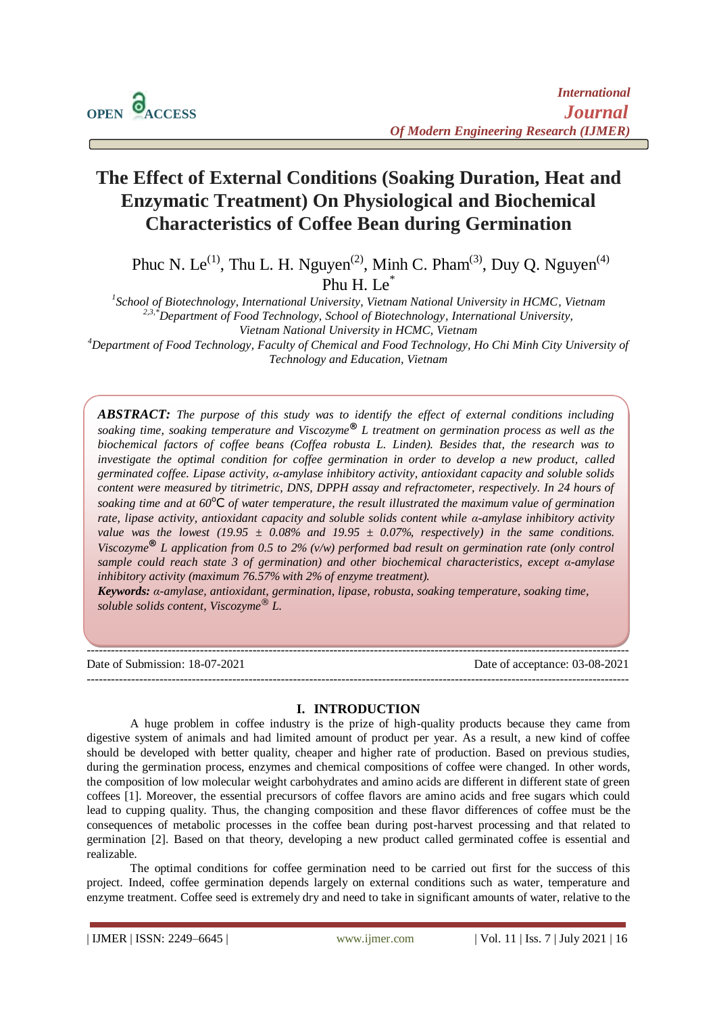# **The Effect of External Conditions (Soaking Duration, Heat and Enzymatic Treatment) On Physiological and Biochemical Characteristics of Coffee Bean during Germination**

Phuc N. Le<sup>(1)</sup>, Thu L. H. Nguyen<sup>(2)</sup>, Minh C. Pham<sup>(3)</sup>, Duy Q. Nguyen<sup>(4)</sup> Phu H. L $e^*$ 

*1 School of Biotechnology, International University, Vietnam National University in HCMC, Vietnam 2,3,\*Department of Food Technology, School of Biotechnology, International University, Vietnam National University in HCMC, Vietnam*

*<sup>4</sup>Department of Food Technology, Faculty of Chemical and Food Technology, Ho Chi Minh City University of Technology and Education, Vietnam*

*ABSTRACT: The purpose of this study was to identify the effect of external conditions including soaking time, soaking temperature and Viscozyme***®** *L treatment on germination process as well as the biochemical factors of coffee beans (Coffea robusta L. Linden). Besides that, the research was to investigate the optimal condition for coffee germination in order to develop a new product, called germinated coffee. Lipase activity, α-amylase inhibitory activity, antioxidant capacity and soluble solids content were measured by titrimetric, DNS, DPPH assay and refractometer, respectively. In 24 hours of*  soaking time and at  $60^{\circ}$ C *of water temperature, the result illustrated the maximum value of germination rate, lipase activity, antioxidant capacity and soluble solids content while α-amylase inhibitory activity value was the lowest (19.95*  $\pm$  *0.08% and 19.95*  $\pm$  *0.07%, respectively) in the same conditions. Viscozyme***®** *L application from 0.5 to 2% (v/w) performed bad result on germination rate (only control sample could reach state 3 of germination) and other biochemical characteristics, except α-amylase inhibitory activity (maximum 76.57% with 2% of enzyme treatment).*

*Keywords: α-amylase, antioxidant, germination, lipase, robusta, soaking temperature, soaking time, soluble solids content, Viscozyme*® *L.*

--------------------------------------------------------------------------------------------------------------------------------------

Date of Submission: 18-07-2021 Date of acceptance: 03-08-2021

#### **I. INTRODUCTION**

--------------------------------------------------------------------------------------------------------------------------------------

A huge problem in coffee industry is the prize of high-quality products because they came from digestive system of animals and had limited amount of product per year. As a result, a new kind of coffee should be developed with better quality, cheaper and higher rate of production. Based on previous studies, during the germination process, enzymes and chemical compositions of coffee were changed. In other words, the composition of low molecular weight carbohydrates and amino acids are different in different state of green coffees [1]. Moreover, the essential precursors of coffee flavors are amino acids and free sugars which could lead to cupping quality. Thus, the changing composition and these flavor differences of coffee must be the consequences of metabolic processes in the coffee bean during post-harvest processing and that related to germination [2]. Based on that theory, developing a new product called germinated coffee is essential and realizable.

The optimal conditions for coffee germination need to be carried out first for the success of this project. Indeed, coffee germination depends largely on external conditions such as water, temperature and enzyme treatment. Coffee seed is extremely dry and need to take in significant amounts of water, relative to the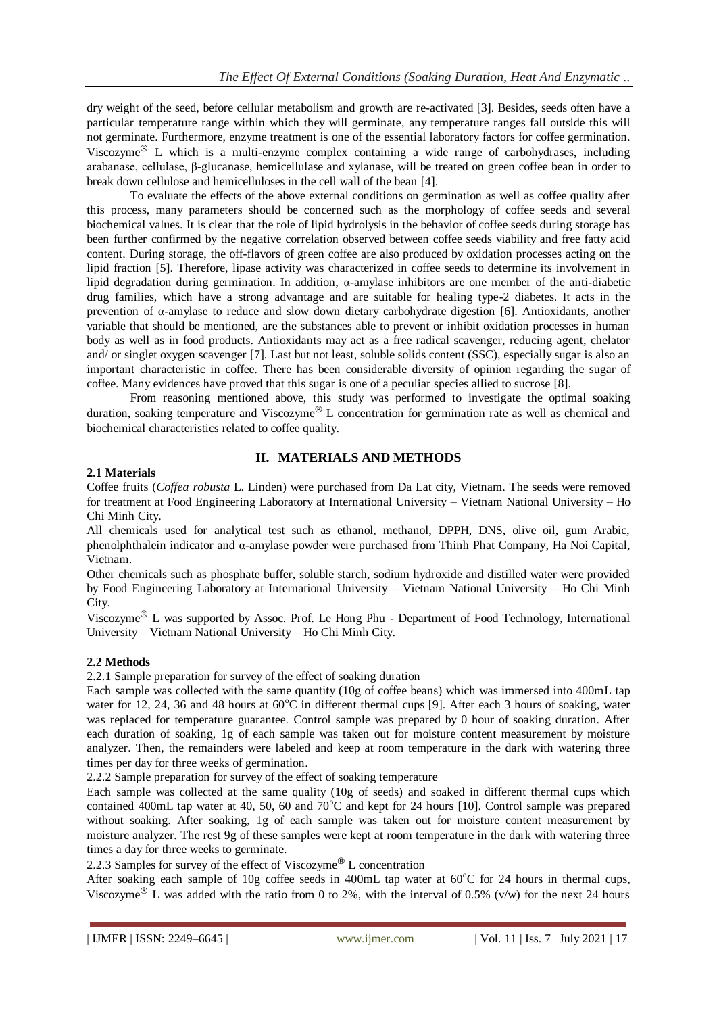dry weight of the seed, before cellular metabolism and growth are re-activated [3]. Besides, seeds often have a particular temperature range within which they will germinate, any temperature ranges fall outside this will not germinate. Furthermore, enzyme treatment is one of the essential laboratory factors for coffee germination. Viscozyme® L which is a multi-enzyme complex containing a wide range of carbohydrases, including arabanase, cellulase, β-glucanase, hemicellulase and xylanase, will be treated on green coffee bean in order to break down cellulose and hemicelluloses in the cell wall of the bean [4].

To evaluate the effects of the above external conditions on germination as well as coffee quality after this process, many parameters should be concerned such as the morphology of coffee seeds and several biochemical values. It is clear that the role of lipid hydrolysis in the behavior of coffee seeds during storage has been further confirmed by the negative correlation observed between coffee seeds viability and free fatty acid content. During storage, the off-flavors of green coffee are also produced by oxidation processes acting on the lipid fraction [5]. Therefore, lipase activity was characterized in coffee seeds to determine its involvement in lipid degradation during germination. In addition, α-amylase inhibitors are one member of the anti-diabetic drug families, which have a strong advantage and are suitable for healing type-2 diabetes. It acts in the prevention of α-amylase to reduce and slow down dietary carbohydrate digestion [6]. Antioxidants, another variable that should be mentioned, are the substances able to prevent or inhibit oxidation processes in human body as well as in food products. Antioxidants may act as a free radical scavenger, reducing agent, chelator and/ or singlet oxygen scavenger [7]. Last but not least, soluble solids content (SSC), especially sugar is also an important characteristic in coffee. There has been considerable diversity of opinion regarding the sugar of coffee. Many evidences have proved that this sugar is one of a peculiar species allied to sucrose [8].

From reasoning mentioned above, this study was performed to investigate the optimal soaking duration, soaking temperature and Viscozyme® L concentration for germination rate as well as chemical and biochemical characteristics related to coffee quality.

# **II. MATERIALS AND METHODS**

## **2.1 Materials**

Coffee fruits (*Coffea robusta* L. Linden) were purchased from Da Lat city, Vietnam. The seeds were removed for treatment at Food Engineering Laboratory at International University – Vietnam National University – Ho Chi Minh City.

All chemicals used for analytical test such as ethanol, methanol, DPPH, DNS, olive oil, gum Arabic, phenolphthalein indicator and α-amylase powder were purchased from Thinh Phat Company, Ha Noi Capital, Vietnam.

Other chemicals such as phosphate buffer, soluble starch, sodium hydroxide and distilled water were provided by Food Engineering Laboratory at International University – Vietnam National University – Ho Chi Minh City.

Viscozyme® L was supported by Assoc. Prof. Le Hong Phu - Department of Food Technology, International University – Vietnam National University – Ho Chi Minh City.

## **2.2 Methods**

2.2.1 Sample preparation for survey of the effect of soaking duration

Each sample was collected with the same quantity (10g of coffee beans) which was immersed into 400mL tap water for 12, 24, 36 and 48 hours at  $60^{\circ}$ C in different thermal cups [9]. After each 3 hours of soaking, water was replaced for temperature guarantee. Control sample was prepared by 0 hour of soaking duration. After each duration of soaking, 1g of each sample was taken out for moisture content measurement by moisture analyzer. Then, the remainders were labeled and keep at room temperature in the dark with watering three times per day for three weeks of germination.

2.2.2 Sample preparation for survey of the effect of soaking temperature

Each sample was collected at the same quality (10g of seeds) and soaked in different thermal cups which contained 400mL tap water at 40, 50, 60 and  $70^{\circ}$ C and kept for 24 hours [10]. Control sample was prepared without soaking. After soaking, 1g of each sample was taken out for moisture content measurement by moisture analyzer. The rest 9g of these samples were kept at room temperature in the dark with watering three times a day for three weeks to germinate.

2.2.3 Samples for survey of the effect of Viscozyme<sup>®</sup> L concentration

After soaking each sample of 10g coffee seeds in 400mL tap water at  $60^{\circ}$ C for 24 hours in thermal cups, Viscozyme<sup>®</sup> L was added with the ratio from 0 to 2%, with the interval of 0.5% (v/w) for the next 24 hours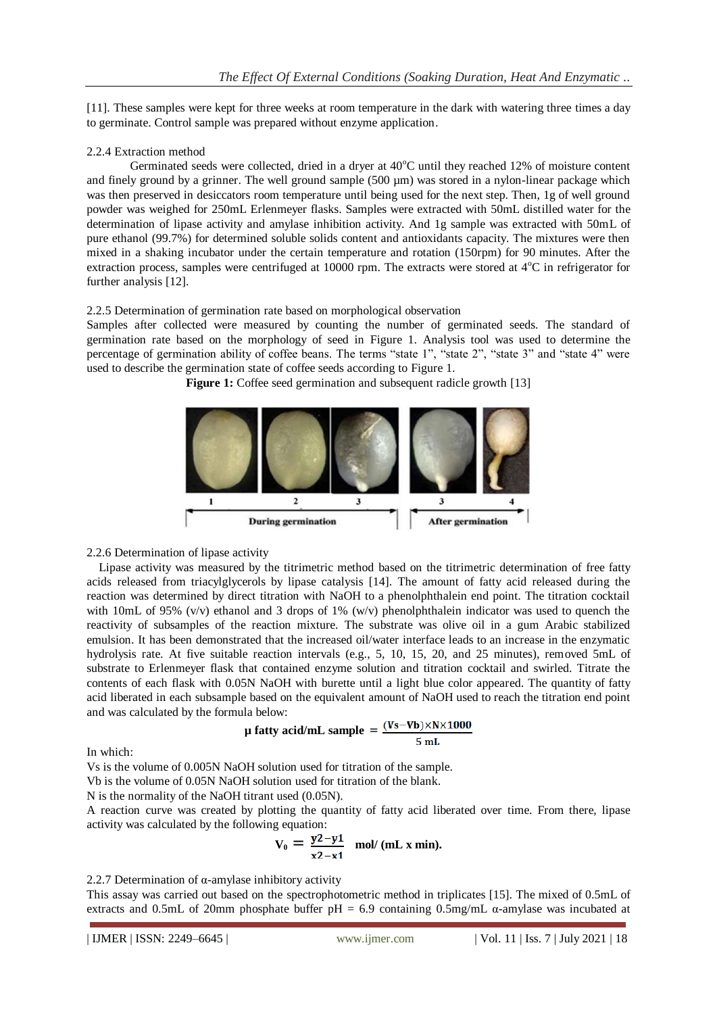[11]. These samples were kept for three weeks at room temperature in the dark with watering three times a day to germinate. Control sample was prepared without enzyme application.

## 2.2.4 Extraction method

Germinated seeds were collected, dried in a dryer at  $40^{\circ}$ C until they reached 12% of moisture content and finely ground by a grinner. The well ground sample (500 µm) was stored in a nylon-linear package which was then preserved in desiccators room temperature until being used for the next step. Then, 1g of well ground powder was weighed for 250mL Erlenmeyer flasks. Samples were extracted with 50mL distilled water for the determination of lipase activity and amylase inhibition activity. And 1g sample was extracted with 50mL of pure ethanol (99.7%) for determined soluble solids content and antioxidants capacity. The mixtures were then mixed in a shaking incubator under the certain temperature and rotation (150rpm) for 90 minutes. After the extraction process, samples were centrifuged at 10000 rpm. The extracts were stored at  $4^{\circ}$ C in refrigerator for further analysis [12].

## 2.2.5 Determination of germination rate based on morphological observation

Samples after collected were measured by counting the number of germinated seeds. The standard of germination rate based on the morphology of seed in Figure 1. Analysis tool was used to determine the percentage of germination ability of coffee beans. The terms "state 1", "state 2", "state 3" and "state 4" were used to describe the germination state of coffee seeds according to Figure 1.

**Figure 1:** Coffee seed germination and subsequent radicle growth [13]



## 2.2.6 Determination of lipase activity

Lipase activity was measured by the titrimetric method based on the titrimetric determination of free fatty acids released from triacylglycerols by lipase catalysis [14]. The amount of fatty acid released during the reaction was determined by direct titration with NaOH to a phenolphthalein end point. The titration cocktail with 10mL of 95% (v/v) ethanol and 3 drops of 1% (w/v) phenolphthalein indicator was used to quench the reactivity of subsamples of the reaction mixture. The substrate was olive oil in a gum Arabic stabilized emulsion. It has been demonstrated that the increased oil/water interface leads to an increase in the enzymatic hydrolysis rate. At five suitable reaction intervals (e.g., 5, 10, 15, 20, and 25 minutes), removed 5mL of substrate to Erlenmeyer flask that contained enzyme solution and titration cocktail and swirled. Titrate the contents of each flask with 0.05N NaOH with burette until a light blue color appeared. The quantity of fatty acid liberated in each subsample based on the equivalent amount of NaOH used to reach the titration end point and was calculated by the formula below:

$$
\mu \text{ fatty acid/mL sample} = \frac{(Vs - Vb) \times N \times 1000}{5 \text{ mL}}
$$

In which:

Vs is the volume of 0.005N NaOH solution used for titration of the sample.

Vb is the volume of 0.05N NaOH solution used for titration of the blank.

N is the normality of the NaOH titrant used (0.05N).

A reaction curve was created by plotting the quantity of fatty acid liberated over time. From there, lipase activity was calculated by the following equation:

$$
V_0 = \frac{y^2 - y^1}{x^2 - x^1}
$$
 mol/(mL x min).

2.2.7 Determination of α-amylase inhibitory activity

This assay was carried out based on the spectrophotometric method in triplicates [15]. The mixed of 0.5mL of extracts and 0.5mL of 20mm phosphate buffer  $pH = 6.9$  containing 0.5mg/mL  $\alpha$ -amylase was incubated at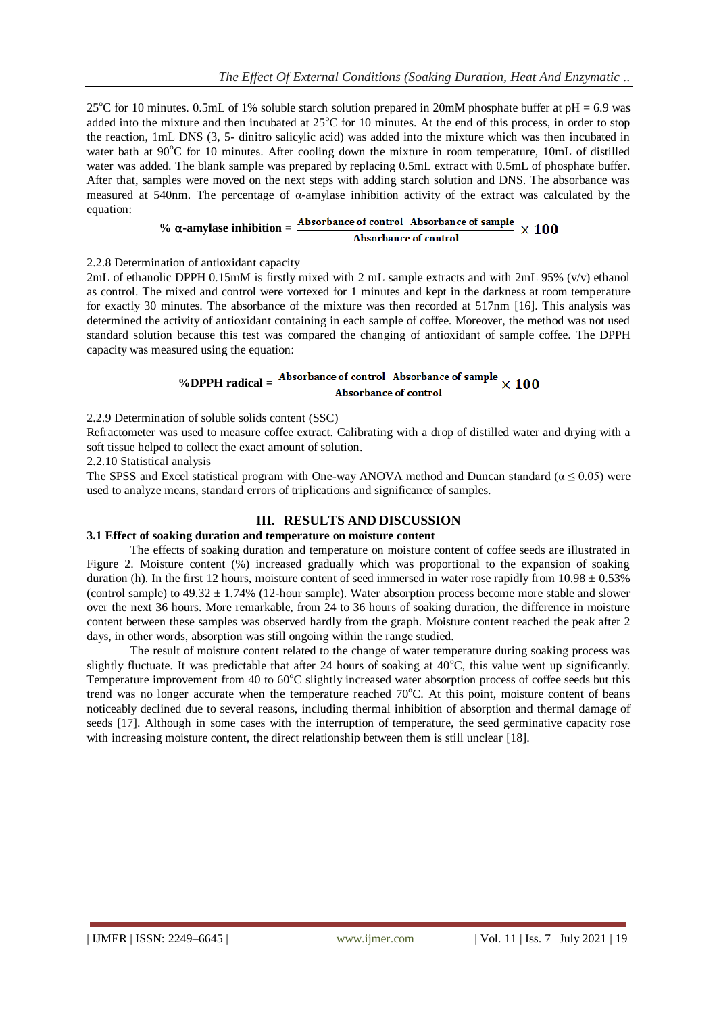25<sup>o</sup>C for 10 minutes. 0.5mL of 1% soluble starch solution prepared in 20mM phosphate buffer at pH = 6.9 was added into the mixture and then incubated at  $25^{\circ}$ C for 10 minutes. At the end of this process, in order to stop the reaction, 1mL DNS (3, 5- dinitro salicylic acid) was added into the mixture which was then incubated in water bath at 90°C for 10 minutes. After cooling down the mixture in room temperature, 10mL of distilled water was added. The blank sample was prepared by replacing 0.5mL extract with 0.5mL of phosphate buffer. After that, samples were moved on the next steps with adding starch solution and DNS. The absorbance was measured at 540nm. The percentage of  $\alpha$ -amylase inhibition activity of the extract was calculated by the equation:

#### $% \alpha$ -amylase inhibition  $=$   $\frac{\text{Absorbane of control} - \text{Absorbane of sample}}{}$  $\times 100$ **Absorbance of control**

#### 2.2.8 Determination of antioxidant capacity

2mL of ethanolic DPPH 0.15mM is firstly mixed with 2 mL sample extracts and with 2mL 95% (v/v) ethanol as control. The mixed and control were vortexed for 1 minutes and kept in the darkness at room temperature for exactly 30 minutes. The absorbance of the mixture was then recorded at 517nm [16]. This analysis was determined the activity of antioxidant containing in each sample of coffee. Moreover, the method was not used standard solution because this test was compared the changing of antioxidant of sample coffee. The DPPH capacity was measured using the equation:

## % **OPPH** radical =  $\frac{\text{Absorbane of control-Absorbance of sample}}{\text{Log } \times 100}$ Absorbance of control

2.2.9 Determination of soluble solids content (SSC)

Refractometer was used to measure coffee extract. Calibrating with a drop of distilled water and drying with a soft tissue helped to collect the exact amount of solution.

2.2.10 Statistical analysis

The SPSS and Excel statistical program with One-way ANOVA method and Duncan standard ( $\alpha \le 0.05$ ) were used to analyze means, standard errors of triplications and significance of samples.

## **III. RESULTS AND DISCUSSION**

## **3.1 Effect of soaking duration and temperature on moisture content**

The effects of soaking duration and temperature on moisture content of coffee seeds are illustrated in Figure 2. Moisture content (%) increased gradually which was proportional to the expansion of soaking duration (h). In the first 12 hours, moisture content of seed immersed in water rose rapidly from  $10.98 \pm 0.53\%$ (control sample) to  $49.32 \pm 1.74\%$  (12-hour sample). Water absorption process become more stable and slower over the next 36 hours. More remarkable, from 24 to 36 hours of soaking duration, the difference in moisture content between these samples was observed hardly from the graph. Moisture content reached the peak after 2 days, in other words, absorption was still ongoing within the range studied.

The result of moisture content related to the change of water temperature during soaking process was slightly fluctuate. It was predictable that after 24 hours of soaking at  $40^{\circ}$ C, this value went up significantly. Temperature improvement from 40 to  $60^{\circ}$ C slightly increased water absorption process of coffee seeds but this trend was no longer accurate when the temperature reached  $70^{\circ}$ C. At this point, moisture content of beans noticeably declined due to several reasons, including thermal inhibition of absorption and thermal damage of seeds [17]. Although in some cases with the interruption of temperature, the seed germinative capacity rose with increasing moisture content, the direct relationship between them is still unclear [18].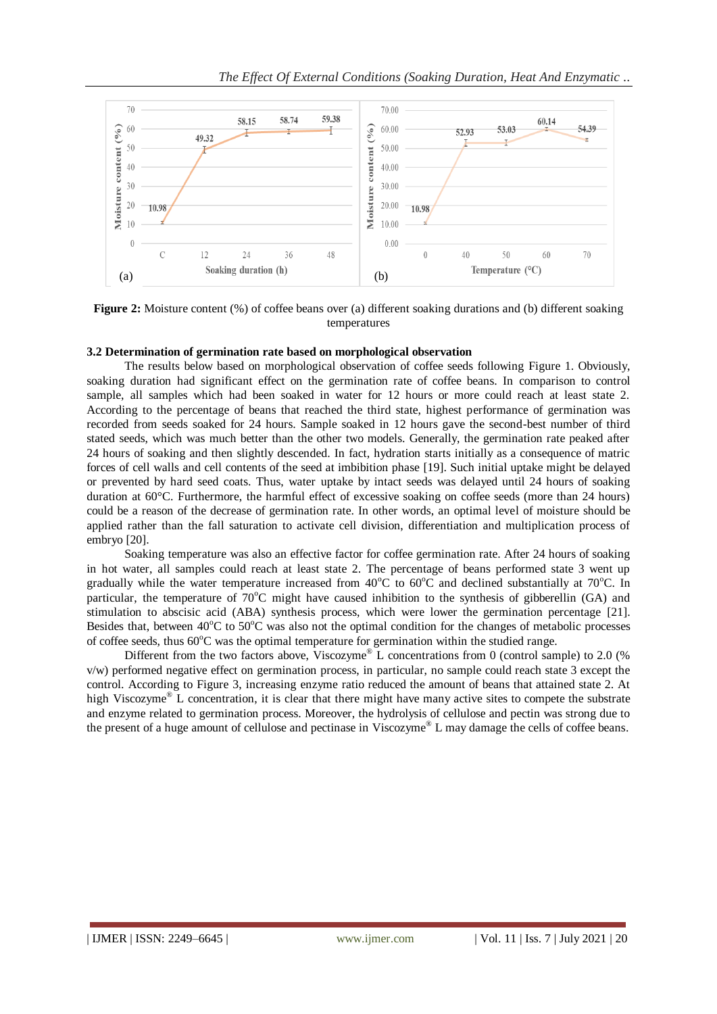

**Figure 2:** Moisture content (%) of coffee beans over (a) different soaking durations and (b) different soaking temperatures

#### **3.2 Determination of germination rate based on morphological observation**

The results below based on morphological observation of coffee seeds following Figure 1. Obviously, soaking duration had significant effect on the germination rate of coffee beans. In comparison to control sample, all samples which had been soaked in water for 12 hours or more could reach at least state 2. According to the percentage of beans that reached the third state, highest performance of germination was recorded from seeds soaked for 24 hours. Sample soaked in 12 hours gave the second-best number of third stated seeds, which was much better than the other two models. Generally, the germination rate peaked after 24 hours of soaking and then slightly descended. In fact, hydration starts initially as a consequence of matric forces of cell walls and cell contents of the seed at imbibition phase [19]. Such initial uptake might be delayed or prevented by hard seed coats. Thus, water uptake by intact seeds was delayed until 24 hours of soaking duration at 60°C. Furthermore, the harmful effect of excessive soaking on coffee seeds (more than 24 hours) could be a reason of the decrease of germination rate. In other words, an optimal level of moisture should be applied rather than the fall saturation to activate cell division, differentiation and multiplication process of embryo [20].

Soaking temperature was also an effective factor for coffee germination rate. After 24 hours of soaking in hot water, all samples could reach at least state 2. The percentage of beans performed state 3 went up gradually while the water temperature increased from  $40^{\circ}$ C to  $60^{\circ}$ C and declined substantially at 70 $^{\circ}$ C. In particular, the temperature of  $70^{\circ}$ C might have caused inhibition to the synthesis of gibberellin (GA) and stimulation to abscisic acid (ABA) synthesis process, which were lower the germination percentage [21]. Besides that, between  $40^{\circ}$ C to  $50^{\circ}$ C was also not the optimal condition for the changes of metabolic processes of coffee seeds, thus  $60^{\circ}$ C was the optimal temperature for germination within the studied range.

Different from the two factors above. Viscozyme<sup>®</sup> L concentrations from 0 (control sample) to 2.0 (%) v/w) performed negative effect on germination process, in particular, no sample could reach state 3 except the control. According to Figure 3, increasing enzyme ratio reduced the amount of beans that attained state 2. At high Viscozyme<sup>®</sup> L concentration, it is clear that there might have many active sites to compete the substrate and enzyme related to germination process. Moreover, the hydrolysis of cellulose and pectin was strong due to the present of a huge amount of cellulose and pectinase in Viscozyme® L may damage the cells of coffee beans.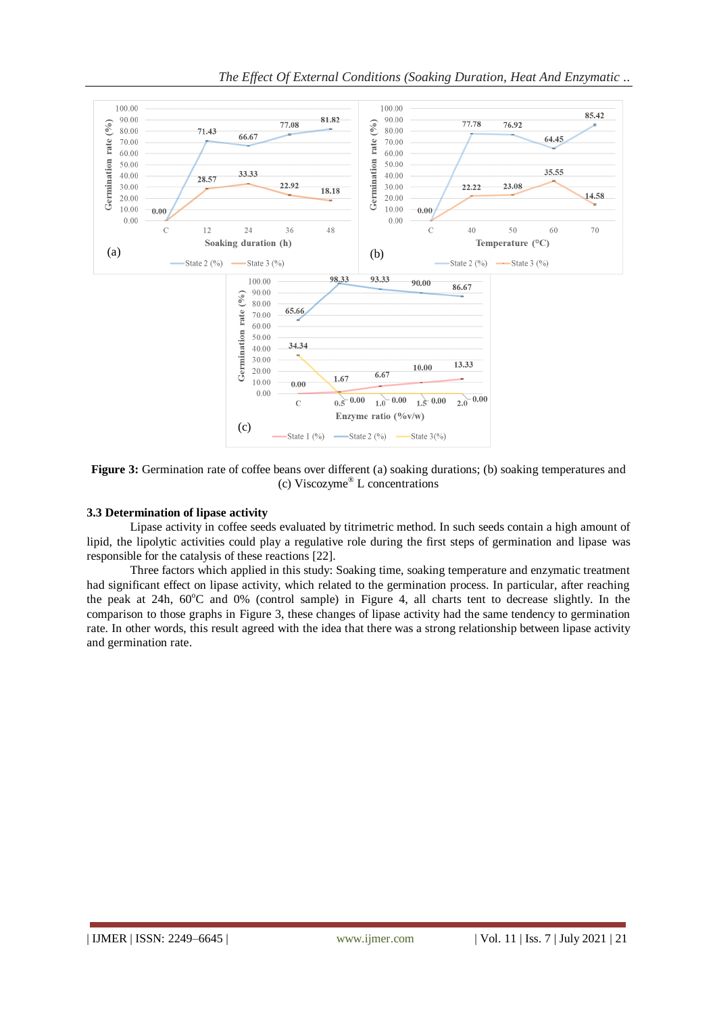

**Figure 3:** Germination rate of coffee beans over different (a) soaking durations; (b) soaking temperatures and (c) Viscozyme® L concentrations

#### **3.3 Determination of lipase activity**

Lipase activity in coffee seeds evaluated by titrimetric method. In such seeds contain a high amount of lipid, the lipolytic activities could play a regulative role during the first steps of germination and lipase was responsible for the catalysis of these reactions [22].

Three factors which applied in this study: Soaking time, soaking temperature and enzymatic treatment had significant effect on lipase activity, which related to the germination process. In particular, after reaching the peak at 24h,  $60^{\circ}$ C and 0% (control sample) in Figure 4, all charts tent to decrease slightly. In the comparison to those graphs in Figure 3, these changes of lipase activity had the same tendency to germination rate. In other words, this result agreed with the idea that there was a strong relationship between lipase activity and germination rate.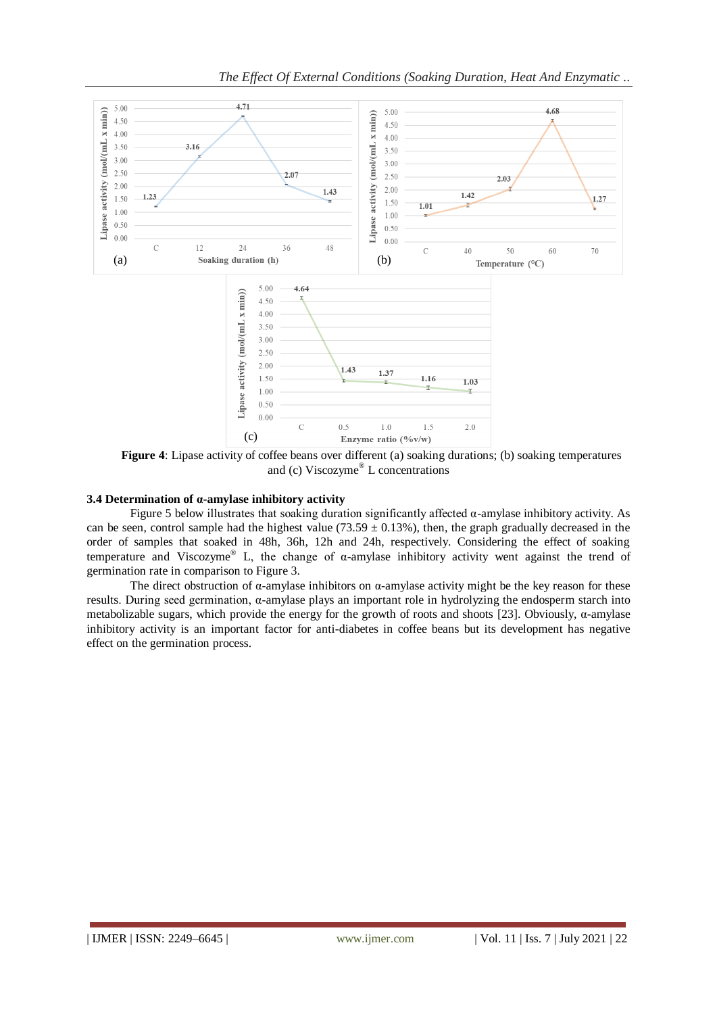

**Figure 4:** Lipase activity of coffee beans over different (a) soaking durations; (b) soaking temperatures and (c) Viscozyme® L concentrations

#### **3.4 Determination of α-amylase inhibitory activity**

Figure 5 below illustrates that soaking duration significantly affected α-amylase inhibitory activity. As can be seen, control sample had the highest value (73.59  $\pm$  0.13%), then, the graph gradually decreased in the order of samples that soaked in 48h, 36h, 12h and 24h, respectively. Considering the effect of soaking temperature and Viscozyme<sup>®</sup> L, the change of  $\alpha$ -amylase inhibitory activity went against the trend of germination rate in comparison to Figure 3.

The direct obstruction of  $\alpha$ -amylase inhibitors on  $\alpha$ -amylase activity might be the key reason for these results. During seed germination, α-amylase plays an important role in hydrolyzing the endosperm starch into metabolizable sugars, which provide the energy for the growth of roots and shoots [23]. Obviously, α-amylase inhibitory activity is an important factor for anti-diabetes in coffee beans but its development has negative effect on the germination process.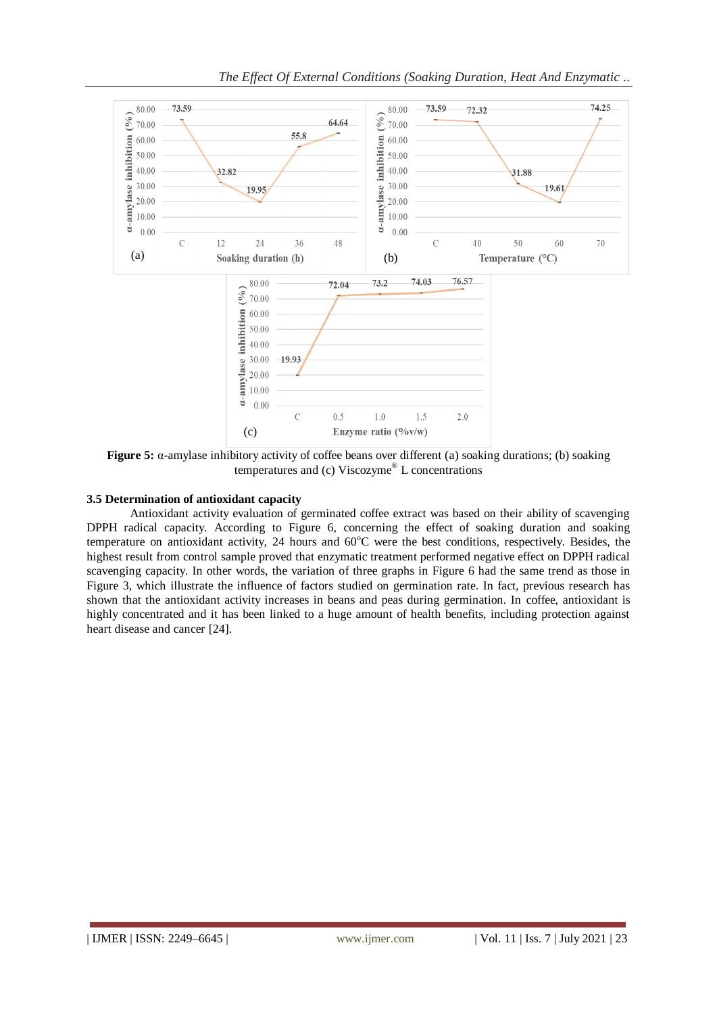

**Figure 5:** α-amylase inhibitory activity of coffee beans over different (a) soaking durations; (b) soaking temperatures and (c) Viscozyme® L concentrations

### **3.5 Determination of antioxidant capacity**

Antioxidant activity evaluation of germinated coffee extract was based on their ability of scavenging DPPH radical capacity. According to Figure 6, concerning the effect of soaking duration and soaking temperature on antioxidant activity, 24 hours and  $60^{\circ}$ C were the best conditions, respectively. Besides, the highest result from control sample proved that enzymatic treatment performed negative effect on DPPH radical scavenging capacity. In other words, the variation of three graphs in Figure 6 had the same trend as those in Figure 3, which illustrate the influence of factors studied on germination rate. In fact, previous research has shown that the antioxidant activity increases in beans and peas during germination. In coffee, antioxidant is highly concentrated and it has been linked to a huge amount of health benefits, including protection against heart disease and cancer [24].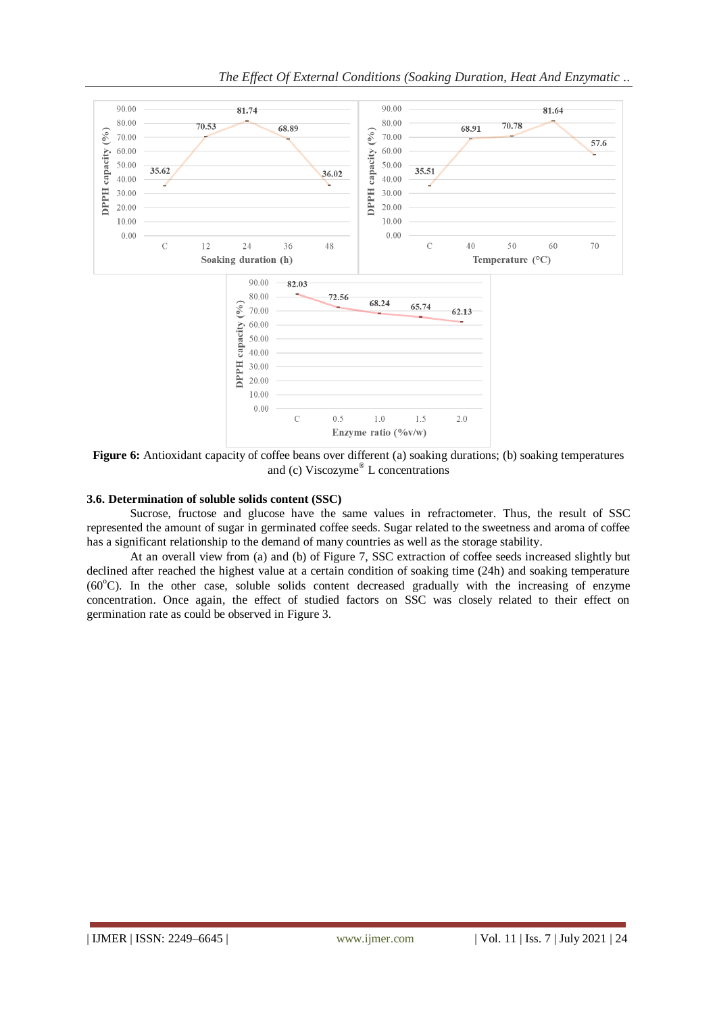

*The Effect Of External Conditions (Soaking Duration, Heat And Enzymatic ..*

**Figure 6:** Antioxidant capacity of coffee beans over different (a) soaking durations; (b) soaking temperatures and (c) Viscozyme® L concentrations

#### **3.6. Determination of soluble solids content (SSC)**

Sucrose, fructose and glucose have the same values in refractometer. Thus, the result of SSC represented the amount of sugar in germinated coffee seeds. Sugar related to the sweetness and aroma of coffee has a significant relationship to the demand of many countries as well as the storage stability.

At an overall view from (a) and (b) of Figure 7, SSC extraction of coffee seeds increased slightly but declined after reached the highest value at a certain condition of soaking time (24h) and soaking temperature  $(60^{\circ}$ C). In the other case, soluble solids content decreased gradually with the increasing of enzyme concentration. Once again, the effect of studied factors on SSC was closely related to their effect on germination rate as could be observed in Figure 3.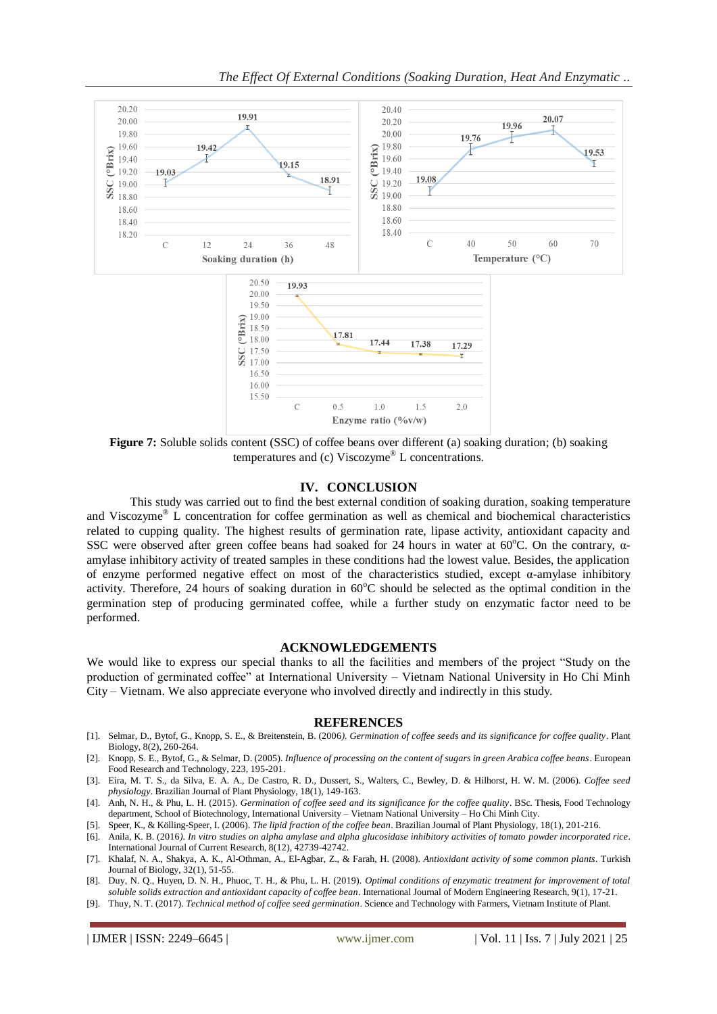

**Figure 7:** Soluble solids content (SSC) of coffee beans over different (a) soaking duration; (b) soaking temperatures and (c) Viscozyme® L concentrations.

#### **IV. CONCLUSION**

This study was carried out to find the best external condition of soaking duration, soaking temperature and Viscozyme® L concentration for coffee germination as well as chemical and biochemical characteristics related to cupping quality. The highest results of germination rate, lipase activity, antioxidant capacity and SSC were observed after green coffee beans had soaked for 24 hours in water at 60°C. On the contrary,  $\alpha$ amylase inhibitory activity of treated samples in these conditions had the lowest value. Besides, the application of enzyme performed negative effect on most of the characteristics studied, except  $\alpha$ -amylase inhibitory activity. Therefore, 24 hours of soaking duration in  $60^{\circ}$ C should be selected as the optimal condition in the germination step of producing germinated coffee, while a further study on enzymatic factor need to be performed.

#### **ACKNOWLEDGEMENTS**

We would like to express our special thanks to all the facilities and members of the project "Study on the production of germinated coffee" at International University – Vietnam National University in Ho Chi Minh City – Vietnam. We also appreciate everyone who involved directly and indirectly in this study.

#### **REFERENCES**

- [1]. Selmar, D., Bytof, G., Knopp, S. E., & Breitenstein, B. (2006*). Germination of coffee seeds and its significance for coffee quality*. Plant Biology, 8(2), 260-264.
- [2]. Knopp, S. E., Bytof, G., & Selmar, D. (2005). *Influence of processing on the content of sugars in green Arabica coffee beans*. European Food Research and Technology, 223, 195-201.
- [3]. Eira, M. T. S., da Silva, E. A. A., De Castro, R. D., Dussert, S., Walters, C., Bewley, D. & Hilhorst, H. W. M. (2006). *Coffee seed physiology*. Brazilian Journal of Plant Physiology, 18(1), 149-163.
- [4]. Anh, N. H., & Phu, L. H. (2015). *Germination of coffee seed and its significance for the coffee quality*. BSc. Thesis, Food Technology department, School of Biotechnology, International University – Vietnam National University – Ho Chi Minh City.
- [5]. Speer, K., & Kölling-Speer, I. (2006). *The lipid fraction of the coffee bean*. Brazilian Journal of Plant Physiology, 18(1), 201-216.
- [6]. Anila, K. B. (2016*). In vitro studies on alpha amylase and alpha glucosidase inhibitory activities of tomato powder incorporated rice*. International Journal of Current Research, 8(12), 42739-42742.
- [7]. Khalaf, N. A., Shakya, A. K., Al-Othman, A., El-Agbar, Z., & Farah, H. (2008). *Antioxidant activity of some common plants*. Turkish Journal of Biology, 32(1), 51-55.
- [8]. Duy, N. Q., Huyen, D. N. H., Phuoc, T. H., & Phu, L. H. (2019). *Optimal conditions of enzymatic treatment for improvement of total soluble solids extraction and antioxidant capacity of coffee bean*. International Journal of Modern Engineering Research, 9(1), 17-21.
- [9]. Thuy, N. T. (2017). *Technical method of coffee seed germination*. Science and Technology with Farmers, Vietnam Institute of Plant.